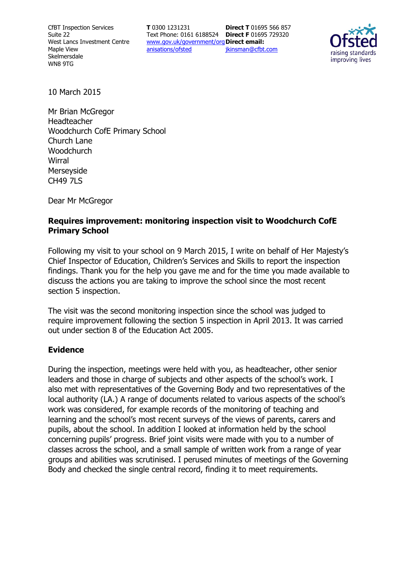CfBT Inspection Services Suite 22 West Lancs Investment Centre Maple View Skelmersdale WN8 9TG

**T** 0300 1231231 Text Phone: 0161 6188524 **Direct F** 01695 729320 www.gov.uk/government/org **Direct email:**  anisations/ofsted **Direct T** 01695 566 857 jkinsman@cfbt.com



10 March 2015

Mr Brian McGregor Headteacher Woodchurch CofE Primary School Church Lane **Woodchurch Wirral** Merseyside CH49 7LS

Dear Mr McGregor

## **Requires improvement: monitoring inspection visit to Woodchurch CofE Primary School**

Following my visit to your school on 9 March 2015, I write on behalf of Her Majesty's Chief Inspector of Education, Children's Services and Skills to report the inspection findings. Thank you for the help you gave me and for the time you made available to discuss the actions you are taking to improve the school since the most recent section 5 inspection.

The visit was the second monitoring inspection since the school was judged to require improvement following the section 5 inspection in April 2013. It was carried out under section 8 of the Education Act 2005.

#### **Evidence**

During the inspection, meetings were held with you, as headteacher, other senior leaders and those in charge of subjects and other aspects of the school's work. I also met with representatives of the Governing Body and two representatives of the local authority (LA.) A range of documents related to various aspects of the school's work was considered, for example records of the monitoring of teaching and learning and the school's most recent surveys of the views of parents, carers and pupils, about the school. In addition I looked at information held by the school concerning pupils' progress. Brief joint visits were made with you to a number of classes across the school, and a small sample of written work from a range of year groups and abilities was scrutinised. I perused minutes of meetings of the Governing Body and checked the single central record, finding it to meet requirements.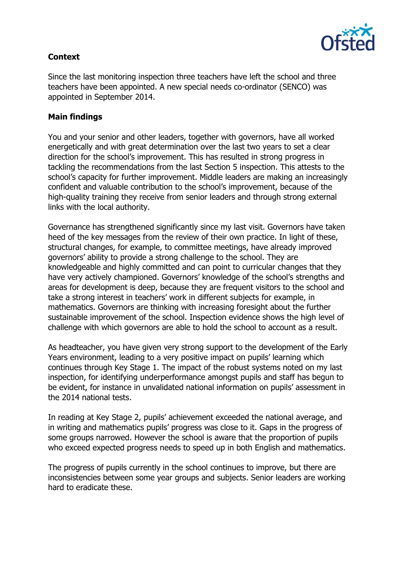

# **Context**

Since the last monitoring inspection three teachers have left the school and three teachers have been appointed. A new special needs co-ordinator (SENCO) was appointed in September 2014.

## **Main findings**

You and your senior and other leaders, together with governors, have all worked energetically and with great determination over the last two years to set a clear direction for the school's improvement. This has resulted in strong progress in tackling the recommendations from the last Section 5 inspection. This attests to the school's capacity for further improvement. Middle leaders are making an increasingly confident and valuable contribution to the school's improvement, because of the high-quality training they receive from senior leaders and through strong external links with the local authority.

Governance has strengthened significantly since my last visit. Governors have taken heed of the key messages from the review of their own practice. In light of these, structural changes, for example, to committee meetings, have already improved governors' ability to provide a strong challenge to the school. They are knowledgeable and highly committed and can point to curricular changes that they have very actively championed. Governors' knowledge of the school's strengths and areas for development is deep, because they are frequent visitors to the school and take a strong interest in teachers' work in different subjects for example, in mathematics. Governors are thinking with increasing foresight about the further sustainable improvement of the school. Inspection evidence shows the high level of challenge with which governors are able to hold the school to account as a result.

As headteacher, you have given very strong support to the development of the Early Years environment, leading to a very positive impact on pupils' learning which continues through Key Stage 1. The impact of the robust systems noted on my last inspection, for identifying underperformance amongst pupils and staff has begun to be evident, for instance in unvalidated national information on pupils' assessment in the 2014 national tests.

In reading at Key Stage 2, pupils' achievement exceeded the national average, and in writing and mathematics pupils' progress was close to it. Gaps in the progress of some groups narrowed. However the school is aware that the proportion of pupils who exceed expected progress needs to speed up in both English and mathematics.

The progress of pupils currently in the school continues to improve, but there are inconsistencies between some year groups and subjects. Senior leaders are working hard to eradicate these.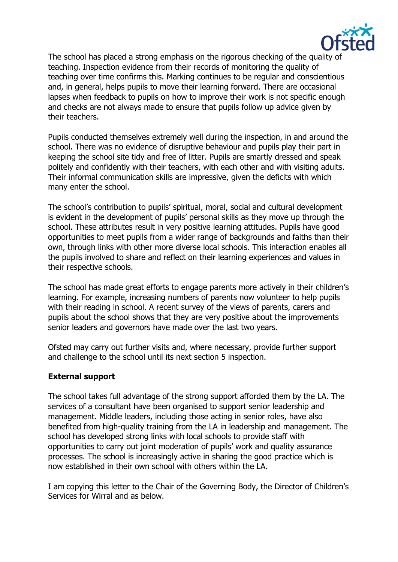

The school has placed a strong emphasis on the rigorous checking of the quality of teaching. Inspection evidence from their records of monitoring the quality of teaching over time confirms this. Marking continues to be regular and conscientious and, in general, helps pupils to move their learning forward. There are occasional lapses when feedback to pupils on how to improve their work is not specific enough and checks are not always made to ensure that pupils follow up advice given by their teachers.

Pupils conducted themselves extremely well during the inspection, in and around the school. There was no evidence of disruptive behaviour and pupils play their part in keeping the school site tidy and free of litter. Pupils are smartly dressed and speak politely and confidently with their teachers, with each other and with visiting adults. Their informal communication skills are impressive, given the deficits with which many enter the school.

The school's contribution to pupils' spiritual, moral, social and cultural development is evident in the development of pupils' personal skills as they move up through the school. These attributes result in very positive learning attitudes. Pupils have good opportunities to meet pupils from a wider range of backgrounds and faiths than their own, through links with other more diverse local schools. This interaction enables all the pupils involved to share and reflect on their learning experiences and values in their respective schools.

The school has made great efforts to engage parents more actively in their children's learning. For example, increasing numbers of parents now volunteer to help pupils with their reading in school. A recent survey of the views of parents, carers and pupils about the school shows that they are very positive about the improvements senior leaders and governors have made over the last two years.

Ofsted may carry out further visits and, where necessary, provide further support and challenge to the school until its next section 5 inspection.

#### **External support**

The school takes full advantage of the strong support afforded them by the LA. The services of a consultant have been organised to support senior leadership and management. Middle leaders, including those acting in senior roles, have also benefited from high-quality training from the LA in leadership and management. The school has developed strong links with local schools to provide staff with opportunities to carry out joint moderation of pupils' work and quality assurance processes. The school is increasingly active in sharing the good practice which is now established in their own school with others within the LA.

I am copying this letter to the Chair of the Governing Body, the Director of Children's Services for Wirral and as below.